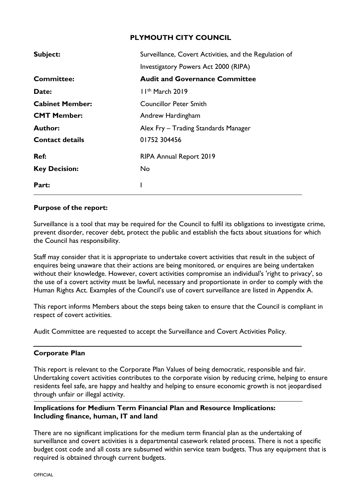# **PLYMOUTH CITY COUNCIL**

| Subject:               | Surveillance, Covert Activities, and the Regulation of |  |  |  |  |  |  |  |
|------------------------|--------------------------------------------------------|--|--|--|--|--|--|--|
|                        | <b>Investigatory Powers Act 2000 (RIPA)</b>            |  |  |  |  |  |  |  |
| <b>Committee:</b>      | <b>Audit and Governance Committee</b>                  |  |  |  |  |  |  |  |
| <b>Date:</b>           | $11th$ March 2019                                      |  |  |  |  |  |  |  |
| <b>Cabinet Member:</b> | Councillor Peter Smith                                 |  |  |  |  |  |  |  |
| <b>CMT Member:</b>     | Andrew Hardingham                                      |  |  |  |  |  |  |  |
| <b>Author:</b>         | Alex Fry - Trading Standards Manager                   |  |  |  |  |  |  |  |
| <b>Contact details</b> | 01752 304456                                           |  |  |  |  |  |  |  |
| Ref:                   | <b>RIPA Annual Report 2019</b>                         |  |  |  |  |  |  |  |
| <b>Key Decision:</b>   | No                                                     |  |  |  |  |  |  |  |
| Part:                  |                                                        |  |  |  |  |  |  |  |

#### **Purpose of the report:**

Surveillance is a tool that may be required for the Council to fulfil its obligations to investigate crime, prevent disorder, recover debt, protect the public and establish the facts about situations for which the Council has responsibility.

Staff may consider that it is appropriate to undertake covert activities that result in the subject of enquires being unaware that their actions are being monitored, or enquires are being undertaken without their knowledge. However, covert activities compromise an individual's 'right to privacy', so the use of a covert activity must be lawful, necessary and proportionate in order to comply with the Human Rights Act. Examples of the Council's use of covert surveillance are listed in Appendix A.

This report informs Members about the steps being taken to ensure that the Council is compliant in respect of covert activities.

Audit Committee are requested to accept the Surveillance and Covert Activities Policy.

## **Corporate Plan**

This report is relevant to the Corporate Plan Values of being democratic, responsible and fair. Undertaking covert activities contributes to the corporate vision by reducing crime, helping to ensure residents feel safe, are happy and healthy and helping to ensure economic growth is not jeopardised through unfair or illegal activity.

#### **Implications for Medium Term Financial Plan and Resource Implications: Including finance, human, IT and land**

There are no significant implications for the medium term financial plan as the undertaking of surveillance and covert activities is a departmental casework related process. There is not a specific budget cost code and all costs are subsumed within service team budgets. Thus any equipment that is required is obtained through current budgets.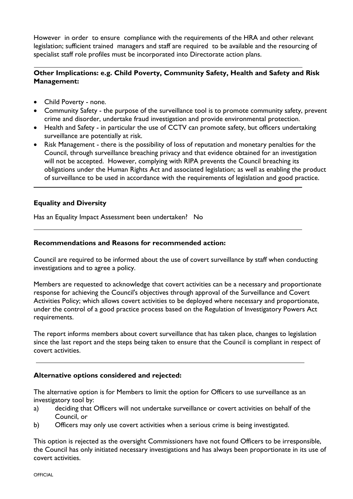However in order to ensure compliance with the requirements of the HRA and other relevant legislation; sufficient trained managers and staff are required to be available and the resourcing of specialist staff role profiles must be incorporated into Directorate action plans.

### **Other Implications: e.g. Child Poverty, Community Safety, Health and Safety and Risk Management:**

- Child Poverty none.
- Community Safety the purpose of the surveillance tool is to promote community safety, prevent crime and disorder, undertake fraud investigation and provide environmental protection.
- Health and Safety in particular the use of CCTV can promote safety, but officers undertaking surveillance are potentially at risk.
- Risk Management there is the possibility of loss of reputation and monetary penalties for the Council, through surveillance breaching privacy and that evidence obtained for an investigation will not be accepted. However, complying with RIPA prevents the Council breaching its obligations under the Human Rights Act and associated legislation; as well as enabling the product of surveillance to be used in accordance with the requirements of legislation and good practice.

## **Equality and Diversity**

Has an Equality Impact Assessment been undertaken? No

#### **Recommendations and Reasons for recommended action:**

Council are required to be informed about the use of covert surveillance by staff when conducting investigations and to agree a policy.

Members are requested to acknowledge that covert activities can be a necessary and proportionate response for achieving the Council's objectives through approval of the Surveillance and Covert Activities Policy; which allows covert activities to be deployed where necessary and proportionate, under the control of a good practice process based on the Regulation of Investigatory Powers Act requirements.

The report informs members about covert surveillance that has taken place, changes to legislation since the last report and the steps being taken to ensure that the Council is compliant in respect of covert activities.

#### **Alternative options considered and rejected:**

The alternative option is for Members to limit the option for Officers to use surveillance as an investigatory tool by:

- a) deciding that Officers will not undertake surveillance or covert activities on behalf of the Council, or
- b) Officers may only use covert activities when a serious crime is being investigated.

This option is rejected as the oversight Commissioners have not found Officers to be irresponsible, the Council has only initiated necessary investigations and has always been proportionate in its use of covert activities.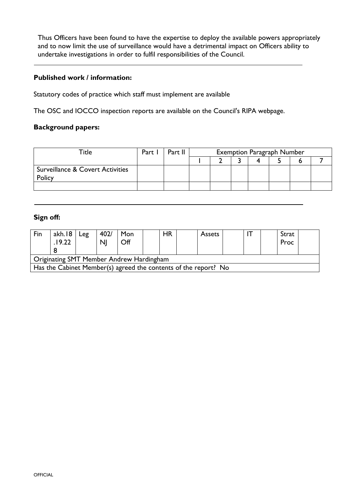Thus Officers have been found to have the expertise to deploy the available powers appropriately and to now limit the use of surveillance would have a detrimental impact on Officers ability to undertake investigations in order to fulfil responsibilities of the Council.

### **Published work / information:**

Statutory codes of practice which staff must implement are available

The OSC and IOCCO inspection reports are available on the Council's RIPA webpage.

#### **Background papers:**

| Title                                                 | Part I | Part II | <b>Exemption Paragraph Number</b> |  |  |  |  |  |  |
|-------------------------------------------------------|--------|---------|-----------------------------------|--|--|--|--|--|--|
|                                                       |        |         |                                   |  |  |  |  |  |  |
| <b>Surveillance &amp; Covert Activities</b><br>Policy |        |         |                                   |  |  |  |  |  |  |
|                                                       |        |         |                                   |  |  |  |  |  |  |

## **Sign off:**

| Fin                                                             | akh.18<br>.19.22 | Leg | 402/<br><b>NI</b> | Mon<br>Off |  | HR |  | <b>Assets</b> |  |  |  | Strat<br>Proc |  |
|-----------------------------------------------------------------|------------------|-----|-------------------|------------|--|----|--|---------------|--|--|--|---------------|--|
| Originating SMT Member Andrew Hardingham                        |                  |     |                   |            |  |    |  |               |  |  |  |               |  |
| Has the Cabinet Member(s) agreed the contents of the report? No |                  |     |                   |            |  |    |  |               |  |  |  |               |  |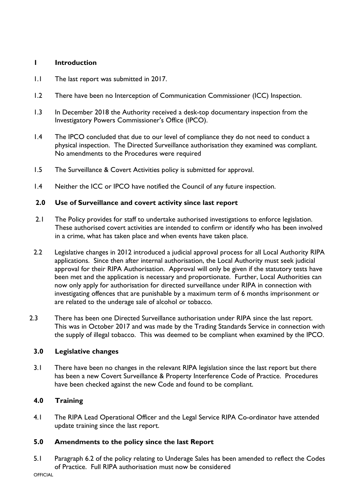# **1 Introduction**

- 1.1 The last report was submitted in 2017.
- 1.2 There have been no Interception of Communication Commissioner (ICC) Inspection.
- 1.3 In December 2018 the Authority received a desk-top documentary inspection from the Investigatory Powers Commissioner's Office (IPCO).
- 1.4 The IPCO concluded that due to our level of compliance they do not need to conduct a physical inspection. The Directed Surveillance authorisation they examined was compliant. No amendments to the Procedures were required
- 1.5 The Surveillance & Covert Activities policy is submitted for approval.
- 1.4 Neither the ICC or IPCO have notified the Council of any future inspection.

## **2.0 Use of Surveillance and covert activity since last report**

- 2.1 The Policy provides for staff to undertake authorised investigations to enforce legislation. These authorised covert activities are intended to confirm or identify who has been involved in a crime, what has taken place and when events have taken place.
- 2.2 Legislative changes in 2012 introduced a judicial approval process for all Local Authority RIPA applications. Since then after internal authorisation, the Local Authority must seek judicial approval for their RIPA Authorisation. Approval will only be given if the statutory tests have been met and the application is necessary and proportionate. Further, Local Authorities can now only apply for authorisation for directed surveillance under RIPA in connection with investigating offences that are punishable by a maximum term of 6 months imprisonment or are related to the underage sale of alcohol or tobacco.
- 2.3 There has been one Directed Surveillance authorisation under RIPA since the last report. This was in October 2017 and was made by the Trading Standards Service in connection with the supply of illegal tobacco. This was deemed to be compliant when examined by the IPCO.

## **3.0 Legislative changes**

3.1 There have been no changes in the relevant RIPA legislation since the last report but there has been a new Covert Surveillance & Property Interference Code of Practice. Procedures have been checked against the new Code and found to be compliant.

# **4.0 Training**

4.1 The RIPA Lead Operational Officer and the Legal Service RIPA Co-ordinator have attended update training since the last report.

## **5.0 Amendments to the policy since the last Report**

5.1 Paragraph 6.2 of the policy relating to Underage Sales has been amended to reflect the Codes of Practice. Full RIPA authorisation must now be considered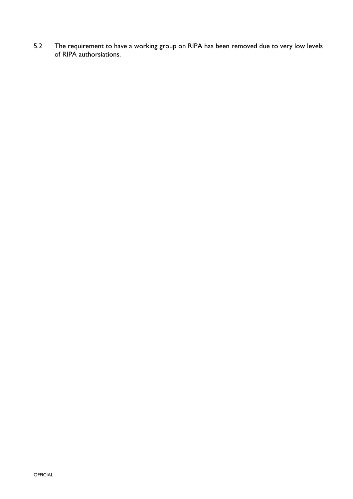5.2 The requirement to have a working group on RIPA has been removed due to very low levels of RIPA authorsiations.